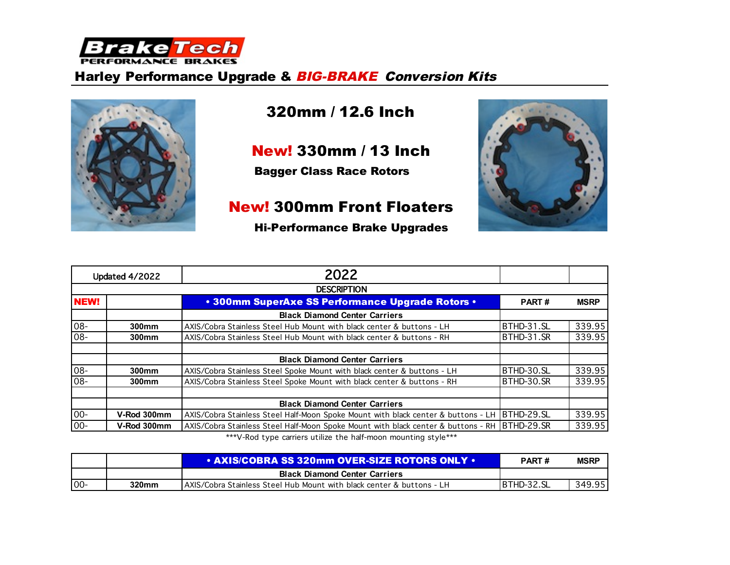

### Harley Performance Upgrade & **BIG-BRAKE** Conversion Kits



# 320mm / 12.6 Inch

New! 330mm / 13 Inch

Bagger Class Race Rotors

## New! 300mm Front Floaters



|  | <b>Hi-Performance Brake Upgrades</b> |  |  |
|--|--------------------------------------|--|--|
|--|--------------------------------------|--|--|

|             | Updated 4/2022    | 2022                                                                                         |              |             |
|-------------|-------------------|----------------------------------------------------------------------------------------------|--------------|-------------|
|             |                   | <b>DESCRIPTION</b>                                                                           |              |             |
| <b>NEW!</b> |                   | • 300mm SuperAxe SS Performance Upgrade Rotors •                                             | <b>PART#</b> | <b>MSRP</b> |
|             |                   | <b>Black Diamond Center Carriers</b>                                                         |              |             |
| 08-         | $300$ mm          | AXIS/Cobra Stainless Steel Hub Mount with black center & buttons - LH                        | BTHD-31.SL   | 339.95      |
| $08 -$      | 300 <sub>mm</sub> | AXIS/Cobra Stainless Steel Hub Mount with black center & buttons - RH                        | BTHD-31.SR   | 339.95      |
|             |                   | <b>Black Diamond Center Carriers</b>                                                         |              |             |
| 08-         | 300 <sub>mm</sub> | AXIS/Cobra Stainless Steel Spoke Mount with black center & buttons - LH                      | BTHD-30.SL   | 339.95      |
| $08-$       | 300 <sub>mm</sub> | AXIS/Cobra Stainless Steel Spoke Mount with black center & buttons - RH                      | BTHD-30.SR   | 339.95      |
|             |                   | <b>Black Diamond Center Carriers</b>                                                         |              |             |
| $00 -$      | V-Rod 300mm       | AXIS/Cobra Stainless Steel Half-Moon Spoke Mount with black center & buttons - LH BTHD-29.SL |              | 339.95      |
| $00-$       | V-Rod 300mm       | AXIS/Cobra Stainless Steel Half-Moon Spoke Mount with black center & buttons - RH BTHD-29.SR |              | 339.95      |

\*\*\*V-Rod type carriers utilize the half-moon mounting style\*\*\*

|        |       | $\cdot$ AXIS/COBRA SS 320mm OVER-SIZE ROTORS ONLY $\cdot$              | <b>PART#</b>       | <b>MSRP</b> |
|--------|-------|------------------------------------------------------------------------|--------------------|-------------|
|        |       | <b>Black Diamond Center Carriers</b>                                   |                    |             |
| $100-$ | 320mm | LAXIS/Cobra Stainless Steel Hub Mount with black center & buttons - LH | <b>IBTHD-32.SL</b> | 349.95      |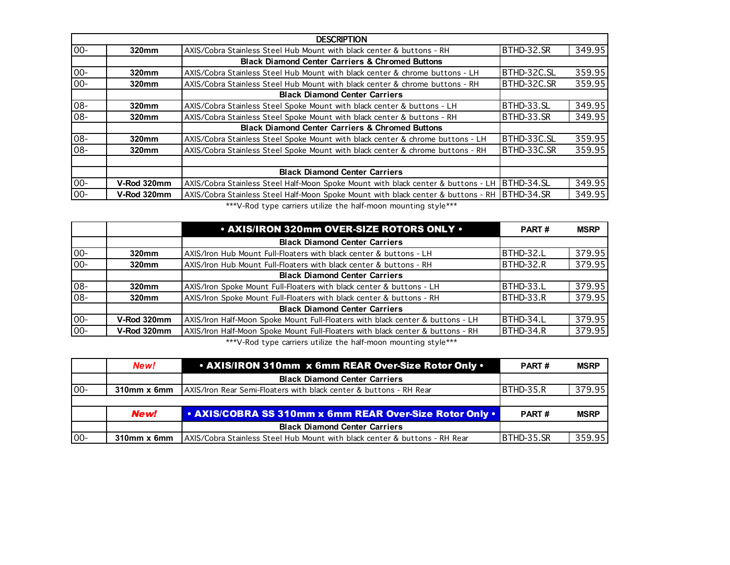|        | <b>DESCRIPTION</b> |                                                                                   |             |        |  |  |
|--------|--------------------|-----------------------------------------------------------------------------------|-------------|--------|--|--|
| $00 -$ | 320mm              | AXIS/Cobra Stainless Steel Hub Mount with black center & buttons - RH             | BTHD-32.SR  | 349.95 |  |  |
|        |                    | <b>Black Diamond Center Carriers &amp; Chromed Buttons</b>                        |             |        |  |  |
| $00 -$ | 320mm              | AXIS/Cobra Stainless Steel Hub Mount with black center & chrome buttons - LH      | BTHD-32C.SL | 359.95 |  |  |
| $00 -$ | 320mm              | AXIS/Cobra Stainless Steel Hub Mount with black center & chrome buttons - RH      | BTHD-32C.SR | 359.95 |  |  |
|        |                    | <b>Black Diamond Center Carriers</b>                                              |             |        |  |  |
| 08-    | 320mm              | AXIS/Cobra Stainless Steel Spoke Mount with black center & buttons - LH           | BTHD-33.SL  | 349.95 |  |  |
| 08-    | 320mm              | AXIS/Cobra Stainless Steel Spoke Mount with black center & buttons - RH           | BTHD-33.SR  | 349.95 |  |  |
|        |                    | <b>Black Diamond Center Carriers &amp; Chromed Buttons</b>                        |             |        |  |  |
| 08-    | 320mm              | AXIS/Cobra Stainless Steel Spoke Mount with black center & chrome buttons - LH    | BTHD-33C.SL | 359.95 |  |  |
| $08 -$ | 320mm              | AXIS/Cobra Stainless Steel Spoke Mount with black center & chrome buttons - RH    | BTHD-33C.SR | 359.95 |  |  |
|        |                    |                                                                                   |             |        |  |  |
|        |                    | <b>Black Diamond Center Carriers</b>                                              |             |        |  |  |
| $00-$  | V-Rod 320mm        | AXIS/Cobra Stainless Steel Half-Moon Spoke Mount with black center & buttons - LH | BTHD-34.SL  | 349.95 |  |  |
| $00 -$ | V-Rod 320mm        | AXIS/Cobra Stainless Steel Half-Moon Spoke Mount with black center & buttons - RH | BTHD-34.SR  | 349.95 |  |  |

\*\*\*V-Rod type carriers utilize the half-moon mounting style\*\*\*

|        |             | • AXIS/IRON 320mm OVER-SIZE ROTORS ONLY •                                      | <b>PART#</b> | <b>MSRP</b> |
|--------|-------------|--------------------------------------------------------------------------------|--------------|-------------|
|        |             | <b>Black Diamond Center Carriers</b>                                           |              |             |
| $00-$  | 320mm       | AXIS/Iron Hub Mount Full-Floaters with black center & buttons - LH             | BTHD-32.L    | 379.95      |
| $00 -$ | 320mm       | AXIS/Iron Hub Mount Full-Floaters with black center & buttons - RH             | BTHD-32.R    | 379.95      |
|        |             | <b>Black Diamond Center Carriers</b>                                           |              |             |
| $08 -$ | 320mm       | AXIS/Iron Spoke Mount Full-Floaters with black center & buttons - LH           | BTHD-33.L    | 379.95      |
| $08 -$ | 320mm       | AXIS/Iron Spoke Mount Full-Floaters with black center & buttons - RH           | BTHD-33.R    | 379.95      |
|        |             | <b>Black Diamond Center Carriers</b>                                           |              |             |
| $00-$  | V-Rod 320mm | AXIS/Iron Half-Moon Spoke Mount Full-Floaters with black center & buttons - LH | BTHD-34.L    | 379.95      |
| $00 -$ | V-Rod 320mm | AXIS/Iron Half-Moon Spoke Mount Full-Floaters with black center & buttons - RH | BTHD-34.R    | 379.95      |
|        |             |                                                                                |              |             |

\*\*\*V-Rod type carriers utilize the half-moon mounting style\*\*\*

|       | New!             | . AXIS/IRON 310mm x 6mm REAR Over-Size Rotor Only .                        | <b>PART#</b> | <b>MSRP</b> |
|-------|------------------|----------------------------------------------------------------------------|--------------|-------------|
|       |                  | <b>Black Diamond Center Carriers</b>                                       |              |             |
| $00-$ | $310$ mm x 6mm   | AXIS/Iron Rear Semi-Floaters with black center & buttons - RH Rear         | BTHD-35.R    | 379.95      |
|       |                  |                                                                            |              |             |
|       | New!             | . AXIS/COBRA SS 310mm x 6mm REAR Over-Size Rotor Only .                    | <b>PART#</b> | <b>MSRP</b> |
|       |                  | <b>Black Diamond Center Carriers</b>                                       |              |             |
| $00-$ | $310$ mm $x$ 6mm | AXIS/Cobra Stainless Steel Hub Mount with black center & buttons - RH Rear | BTHD-35.SR   | 359.95      |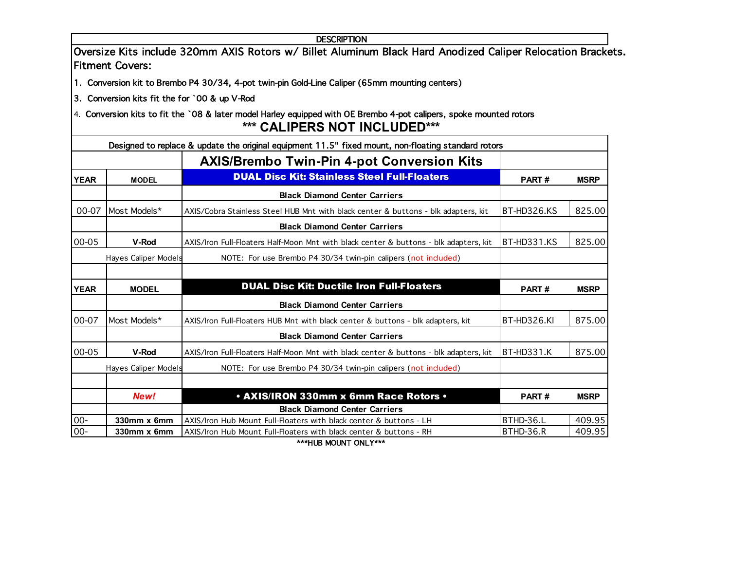|             |                                               | <b>DESCRIPTION</b>                                                                                                  |             |             |
|-------------|-----------------------------------------------|---------------------------------------------------------------------------------------------------------------------|-------------|-------------|
|             | <b>Fitment Covers:</b>                        | Oversize Kits include 320mm AXIS Rotors w/ Billet Aluminum Black Hard Anodized Caliper Relocation Brackets.         |             |             |
|             |                                               | 1. Conversion kit to Brembo P4 30/34, 4-pot twin-pin Gold-Line Caliper (65mm mounting centers)                      |             |             |
|             | 3. Conversion kits fit the for `00 & up V-Rod |                                                                                                                     |             |             |
|             |                                               | 4. Conversion kits to fit the `08 & later model Harley equipped with OE Brembo 4-pot calipers, spoke mounted rotors |             |             |
|             |                                               | <b>*** CALIPERS NOT INCLUDED***</b>                                                                                 |             |             |
|             |                                               | Designed to replace & update the original equipment 11.5" fixed mount, non-floating standard rotors                 |             |             |
|             |                                               | <b>AXIS/Brembo Twin-Pin 4-pot Conversion Kits</b>                                                                   |             |             |
| <b>YEAR</b> | <b>MODEL</b>                                  | <b>DUAL Disc Kit: Stainless Steel Full-Floaters</b>                                                                 | PART#       | <b>MSRP</b> |
|             |                                               | <b>Black Diamond Center Carriers</b>                                                                                |             |             |
| 00-07       | Most Models*                                  | AXIS/Cobra Stainless Steel HUB Mnt with black center & buttons - blk adapters, kit                                  | BT-HD326.KS | 825.00      |
|             |                                               | <b>Black Diamond Center Carriers</b>                                                                                |             |             |
| 00-05       | V-Rod                                         | AXIS/Iron Full-Floaters Half-Moon Mnt with black center & buttons - blk adapters, kit                               | BT-HD331.KS | 825.00      |
|             | Hayes Caliper Models                          | NOTE: For use Brembo P4 30/34 twin-pin calipers (not included)                                                      |             |             |
|             |                                               |                                                                                                                     |             |             |
| <b>YEAR</b> | <b>MODEL</b>                                  | <b>DUAL Disc Kit: Ductile Iron Full-Floaters</b>                                                                    | PART#       | <b>MSRP</b> |
|             |                                               | <b>Black Diamond Center Carriers</b>                                                                                |             |             |
| 00-07       | Most Models*                                  | AXIS/Iron Full-Floaters HUB Mnt with black center & buttons - blk adapters, kit                                     | BT-HD326.KI | 875.00      |
|             |                                               | <b>Black Diamond Center Carriers</b>                                                                                |             |             |
| 00-05       | V-Rod                                         | AXIS/Iron Full-Floaters Half-Moon Mnt with black center & buttons - blk adapters, kit                               | BT-HD331.K  | 875.00      |
|             | Hayes Caliper Models                          | NOTE: For use Brembo P4 30/34 twin-pin calipers (not included)                                                      |             |             |
|             |                                               |                                                                                                                     |             |             |
|             | New!                                          | . AXIS/IRON 330mm x 6mm Race Rotors .                                                                               | PART#       | <b>MSRP</b> |
|             |                                               | <b>Black Diamond Center Carriers</b>                                                                                |             |             |
| $00-$       | 330mm x 6mm                                   | AXIS/Iron Hub Mount Full-Floaters with black center & buttons - LH                                                  | BTHD-36.L   | 409.95      |
| $00-$       | 330mm x 6mm                                   | AXIS/Iron Hub Mount Full-Floaters with black center & buttons - RH<br>***HUB MOUNT ONLY***                          | BTHD-36.R   | 409.95      |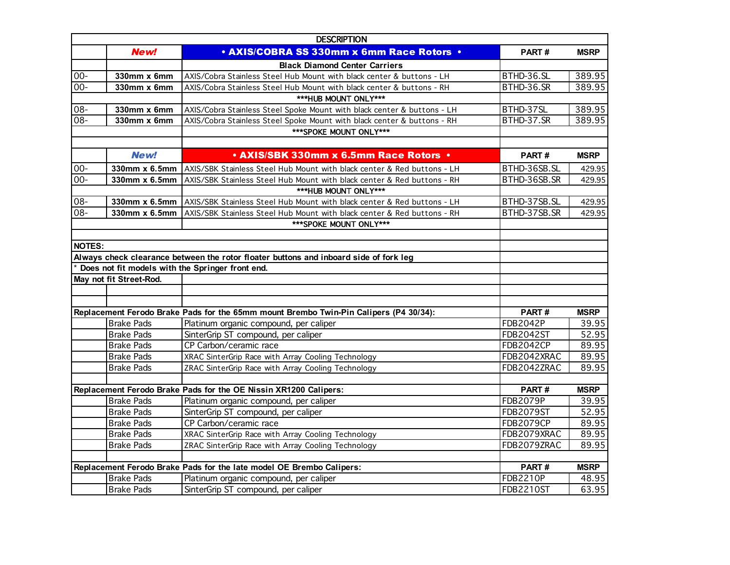|               | <b>DESCRIPTION</b>      |                                                                                       |                  |             |  |  |
|---------------|-------------------------|---------------------------------------------------------------------------------------|------------------|-------------|--|--|
|               | New!                    | • AXIS/COBRA SS 330mm x 6mm Race Rotors .                                             | PART#            | <b>MSRP</b> |  |  |
|               |                         | <b>Black Diamond Center Carriers</b>                                                  |                  |             |  |  |
| $00-$         | 330mm x 6mm             | AXIS/Cobra Stainless Steel Hub Mount with black center & buttons - LH                 | BTHD-36.SL       | 389.95      |  |  |
| $00 -$        | $330$ mm x 6mm          | AXIS/Cobra Stainless Steel Hub Mount with black center & buttons - RH                 | BTHD-36.SR       | 389.95      |  |  |
|               |                         | ***HUB MOUNT ONLY***                                                                  |                  |             |  |  |
| 08-           | 330mm x 6mm             | AXIS/Cobra Stainless Steel Spoke Mount with black center & buttons - LH               | BTHD-37SL        | 389.95      |  |  |
| $08 -$        | 330mm x 6mm             | AXIS/Cobra Stainless Steel Spoke Mount with black center & buttons - RH               | BTHD-37.SR       | 389.95      |  |  |
|               |                         | *** SPOKE MOUNT ONLY***                                                               |                  |             |  |  |
|               |                         |                                                                                       |                  |             |  |  |
|               | New!                    | • AXIS/SBK 330mm x 6.5mm Race Rotors .                                                | PART#            | <b>MSRP</b> |  |  |
| $00-$         | 330mm x 6.5mm           | AXIS/SBK Stainless Steel Hub Mount with black center & Red buttons - LH               | BTHD-36SB.SL     | 429.95      |  |  |
| $00 -$        | 330mm x 6.5mm           | AXIS/SBK Stainless Steel Hub Mount with black center & Red buttons - RH               | BTHD-36SB.SR     | 429.95      |  |  |
|               |                         | ***HUB MOUNT ONLY***                                                                  |                  |             |  |  |
| 08-           |                         | 330mm x 6.5mm AXIS/SBK Stainless Steel Hub Mount with black center & Red buttons - LH | BTHD-37SB.SL     | 429.95      |  |  |
| 08-           | 330mm x 6.5mm           | AXIS/SBK Stainless Steel Hub Mount with black center & Red buttons - RH               | BTHD-37SB.SR     | 429.95      |  |  |
|               |                         | ***SPOKE MOUNT ONLY***                                                                |                  |             |  |  |
|               |                         |                                                                                       |                  |             |  |  |
| <b>NOTES:</b> |                         |                                                                                       |                  |             |  |  |
|               |                         | Always check clearance between the rotor floater buttons and inboard side of fork leg |                  |             |  |  |
|               |                         | Does not fit models with the Springer front end.                                      |                  |             |  |  |
|               | May not fit Street-Rod. |                                                                                       |                  |             |  |  |
|               |                         |                                                                                       |                  |             |  |  |
|               |                         |                                                                                       |                  |             |  |  |
|               |                         | Replacement Ferodo Brake Pads for the 65mm mount Brembo Twin-Pin Calipers (P4 30/34): | PART#            | <b>MSRP</b> |  |  |
|               | <b>Brake Pads</b>       | Platinum organic compound, per caliper                                                | <b>FDB2042P</b>  | 39.95       |  |  |
|               | <b>Brake Pads</b>       | SinterGrip ST compound, per caliper                                                   | <b>FDB2042ST</b> | 52.95       |  |  |
|               | <b>Brake Pads</b>       | CP Carbon/ceramic race                                                                | <b>FDB2042CP</b> | 89.95       |  |  |
|               | <b>Brake Pads</b>       | XRAC SinterGrip Race with Array Cooling Technology                                    | FDB2042XRAC      | 89.95       |  |  |
|               | <b>Brake Pads</b>       | ZRAC SinterGrip Race with Array Cooling Technology                                    | FDB2042ZRAC      | 89.95       |  |  |
|               |                         |                                                                                       |                  |             |  |  |
|               |                         | Replacement Ferodo Brake Pads for the OE Nissin XR1200 Calipers:                      | PART#            | <b>MSRP</b> |  |  |
|               | <b>Brake Pads</b>       | Platinum organic compound, per caliper                                                | <b>FDB2079P</b>  | 39.95       |  |  |
|               | <b>Brake Pads</b>       | SinterGrip ST compound, per caliper                                                   | <b>FDB2079ST</b> | 52.95       |  |  |
|               | <b>Brake Pads</b>       | CP Carbon/ceramic race                                                                | <b>FDB2079CP</b> | 89.95       |  |  |
|               | <b>Brake Pads</b>       | XRAC SinterGrip Race with Array Cooling Technology                                    | FDB2079XRAC      | 89.95       |  |  |
|               | <b>Brake Pads</b>       | ZRAC SinterGrip Race with Array Cooling Technology                                    | FDB2079ZRAC      | 89.95       |  |  |
|               |                         |                                                                                       |                  |             |  |  |
|               |                         | Replacement Ferodo Brake Pads for the late model OE Brembo Calipers:                  | PART#            | <b>MSRP</b> |  |  |
|               | <b>Brake Pads</b>       | Platinum organic compound, per caliper                                                | <b>FDB2210P</b>  | 48.95       |  |  |
|               | <b>Brake Pads</b>       | SinterGrip ST compound, per caliper                                                   | <b>FDB2210ST</b> | 63.95       |  |  |